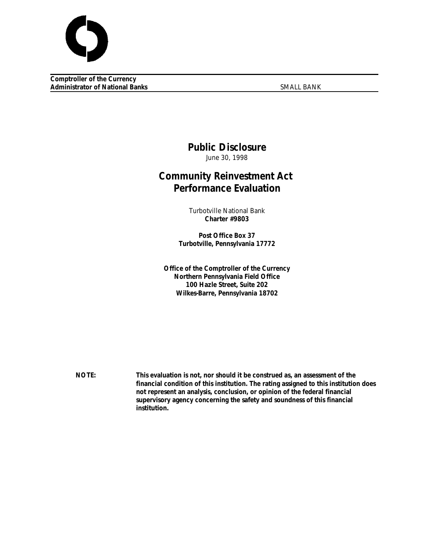

**Comptroller of the Currency Administrator of National Banks** SMALL BANK

# **Public Disclosure**

June 30, 1998

# **Community Reinvestment Act Performance Evaluation**

Turbotville National Bank **Charter #9803**

**Post Office Box 37 Turbotville, Pennsylvania 17772**

**Office of the Comptroller of the Currency Northern Pennsylvania Field Office 100 Hazle Street, Suite 202 Wilkes-Barre, Pennsylvania 18702**

**NOTE: This evaluation is not, nor should it be construed as, an assessment of the financial condition of this institution. The rating assigned to this institution does not represent an analysis, conclusion, or opinion of the federal financial supervisory agency concerning the safety and soundness of this financial institution.**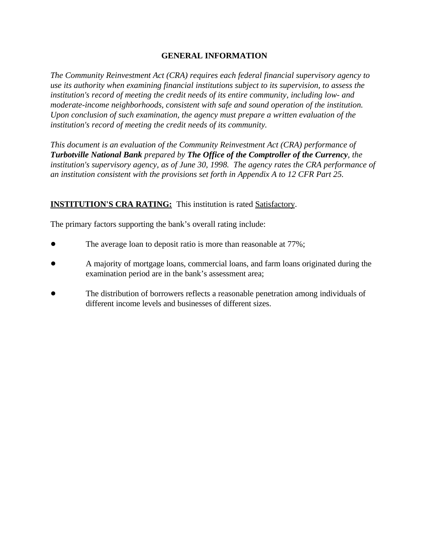### **GENERAL INFORMATION**

*The Community Reinvestment Act (CRA) requires each federal financial supervisory agency to use its authority when examining financial institutions subject to its supervision, to assess the institution's record of meeting the credit needs of its entire community, including low- and moderate-income neighborhoods, consistent with safe and sound operation of the institution. Upon conclusion of such examination, the agency must prepare a written evaluation of the institution's record of meeting the credit needs of its community.* 

*This document is an evaluation of the Community Reinvestment Act (CRA) performance of Turbotville National Bank prepared by The Office of the Comptroller of the Currency, the institution's supervisory agency, as of June 30, 1998. The agency rates the CRA performance of an institution consistent with the provisions set forth in Appendix A to 12 CFR Part 25.*

## **INSTITUTION'S CRA RATING:** This institution is rated Satisfactory.

The primary factors supporting the bank's overall rating include:

- The average loan to deposit ratio is more than reasonable at 77%;
- ! A majority of mortgage loans, commercial loans, and farm loans originated during the examination period are in the bank's assessment area;
- ! The distribution of borrowers reflects a reasonable penetration among individuals of different income levels and businesses of different sizes.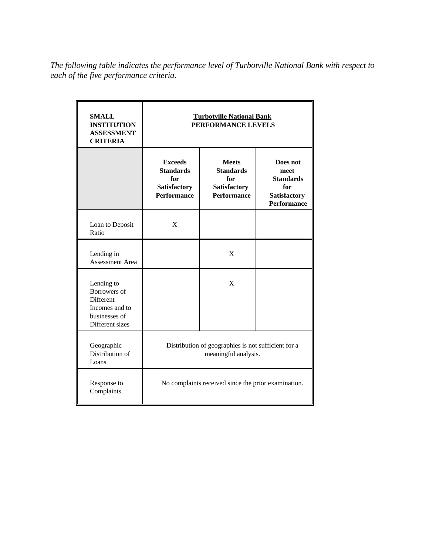*The following table indicates the performance level of Turbotville National Bank with respect to each of the five performance criteria.*

| <b>SMALL</b><br><b>INSTITUTION</b><br><b>ASSESSMENT</b><br><b>CRITERIA</b>                           | <b>Turbotville National Bank</b><br>PERFORMANCE LEVELS                                 |                                                                                      |                                                                                   |  |  |  |
|------------------------------------------------------------------------------------------------------|----------------------------------------------------------------------------------------|--------------------------------------------------------------------------------------|-----------------------------------------------------------------------------------|--|--|--|
|                                                                                                      | <b>Exceeds</b><br><b>Standards</b><br>for<br><b>Satisfactory</b><br><b>Performance</b> | <b>Meets</b><br><b>Standards</b><br>for<br><b>Satisfactory</b><br><b>Performance</b> | Does not<br>meet<br><b>Standards</b><br>for<br>Satisfactory<br><b>Performance</b> |  |  |  |
| Loan to Deposit<br>Ratio                                                                             | X                                                                                      |                                                                                      |                                                                                   |  |  |  |
| Lending in<br><b>Assessment Area</b>                                                                 |                                                                                        | $\mathbf{X}$                                                                         |                                                                                   |  |  |  |
| Lending to<br>Borrowers of<br><b>Different</b><br>Incomes and to<br>businesses of<br>Different sizes |                                                                                        | X                                                                                    |                                                                                   |  |  |  |
| Geographic<br>Distribution of<br>Loans                                                               | Distribution of geographies is not sufficient for a<br>meaningful analysis.            |                                                                                      |                                                                                   |  |  |  |
| Response to<br>Complaints                                                                            | No complaints received since the prior examination.                                    |                                                                                      |                                                                                   |  |  |  |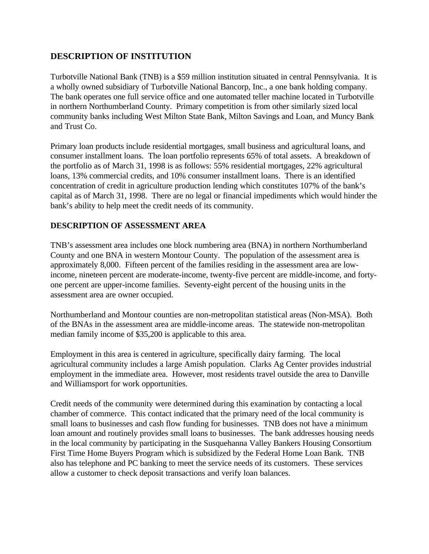# **DESCRIPTION OF INSTITUTION**

Turbotville National Bank (TNB) is a \$59 million institution situated in central Pennsylvania. It is a wholly owned subsidiary of Turbotville National Bancorp, Inc., a one bank holding company. The bank operates one full service office and one automated teller machine located in Turbotville in northern Northumberland County. Primary competition is from other similarly sized local community banks including West Milton State Bank, Milton Savings and Loan, and Muncy Bank and Trust Co.

Primary loan products include residential mortgages, small business and agricultural loans, and consumer installment loans. The loan portfolio represents 65% of total assets. A breakdown of the portfolio as of March 31, 1998 is as follows: 55% residential mortgages, 22% agricultural loans, 13% commercial credits, and 10% consumer installment loans. There is an identified concentration of credit in agriculture production lending which constitutes 107% of the bank's capital as of March 31, 1998. There are no legal or financial impediments which would hinder the bank's ability to help meet the credit needs of its community.

## **DESCRIPTION OF ASSESSMENT AREA**

TNB's assessment area includes one block numbering area (BNA) in northern Northumberland County and one BNA in western Montour County. The population of the assessment area is approximately 8,000. Fifteen percent of the families residing in the assessment area are lowincome, nineteen percent are moderate-income, twenty-five percent are middle-income, and fortyone percent are upper-income families. Seventy-eight percent of the housing units in the assessment area are owner occupied.

Northumberland and Montour counties are non-metropolitan statistical areas (Non-MSA). Both of the BNAs in the assessment area are middle-income areas. The statewide non-metropolitan median family income of \$35,200 is applicable to this area.

Employment in this area is centered in agriculture, specifically dairy farming. The local agricultural community includes a large Amish population. Clarks Ag Center provides industrial employment in the immediate area. However, most residents travel outside the area to Danville and Williamsport for work opportunities.

Credit needs of the community were determined during this examination by contacting a local chamber of commerce. This contact indicated that the primary need of the local community is small loans to businesses and cash flow funding for businesses. TNB does not have a minimum loan amount and routinely provides small loans to businesses. The bank addresses housing needs in the local community by participating in the Susquehanna Valley Bankers Housing Consortium First Time Home Buyers Program which is subsidized by the Federal Home Loan Bank. TNB also has telephone and PC banking to meet the service needs of its customers. These services allow a customer to check deposit transactions and verify loan balances.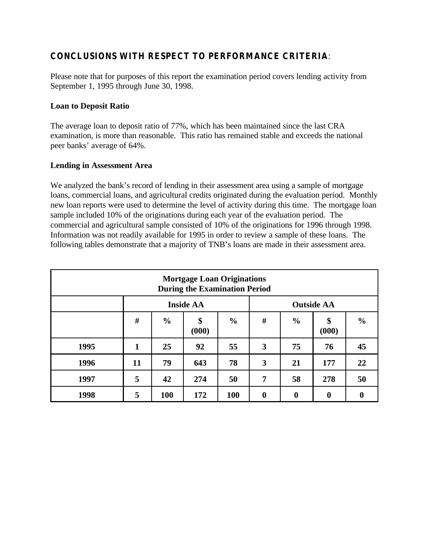# **CONCLUSIONS WITH RESPECT TO PERFORMANCE CRITERIA**:

Please note that for purposes of this report the examination period covers lending activity from September 1, 1995 through June 30, 1998.

#### **Loan to Deposit Ratio**

The average loan to deposit ratio of 77%, which has been maintained since the last CRA examination, is more than reasonable. This ratio has remained stable and exceeds the national peer banks' average of 64%.

#### **Lending in Assessment Area**

We analyzed the bank's record of lending in their assessment area using a sample of mortgage loans, commercial loans, and agricultural credits originated during the evaluation period. Monthly new loan reports were used to determine the level of activity during this time. The mortgage loan sample included 10% of the originations during each year of the evaluation period. The commercial and agricultural sample consisted of 10% of the originations for 1996 through 1998. Information was not readily available for 1995 in order to review a sample of these loans. The following tables demonstrate that a majority of TNB's loans are made in their assessment area.

| <b>Mortgage Loan Originations</b><br><b>During the Examination Period</b> |                  |               |             |               |                   |                  |             |               |
|---------------------------------------------------------------------------|------------------|---------------|-------------|---------------|-------------------|------------------|-------------|---------------|
|                                                                           | <b>Inside AA</b> |               |             |               | <b>Outside AA</b> |                  |             |               |
|                                                                           | #                | $\frac{0}{0}$ | \$<br>(000) | $\frac{6}{9}$ | #                 | $\frac{0}{0}$    | \$<br>(000) | $\frac{0}{0}$ |
| 1995                                                                      | 1                | 25            | 92          | 55            | 3                 | 75               | 76          | 45            |
| 1996                                                                      | 11               | 79            | 643         | 78            | 3                 | 21               | 177         | 22            |
| 1997                                                                      | 5                | 42            | 274         | 50            | 7                 | 58               | 278         | 50            |
| 1998                                                                      | 5                | 100           | 172         | 100           | $\boldsymbol{0}$  | $\boldsymbol{0}$ | $\bf{0}$    |               |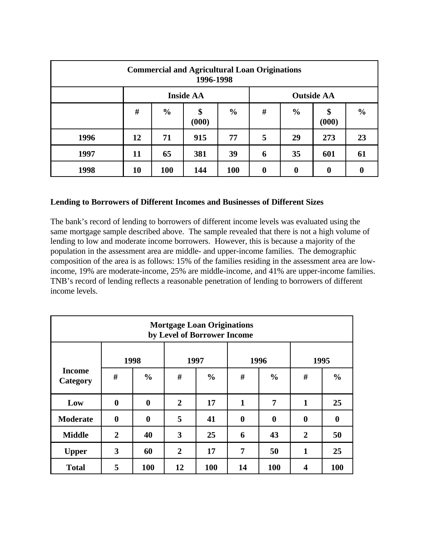| <b>Commercial and Agricultural Loan Originations</b><br>1996-1998 |                  |               |             |               |                   |                  |                  |               |
|-------------------------------------------------------------------|------------------|---------------|-------------|---------------|-------------------|------------------|------------------|---------------|
|                                                                   | <b>Inside AA</b> |               |             |               | <b>Outside AA</b> |                  |                  |               |
|                                                                   | #                | $\frac{0}{0}$ | \$<br>(000) | $\frac{0}{0}$ | #                 | $\frac{0}{0}$    | \$<br>(000)      | $\frac{0}{0}$ |
| 1996                                                              | 12               | 71            | 915         | 77            | 5                 | 29               | 273              | 23            |
| 1997                                                              | 11               | 65            | 381         | 39            | 6                 | 35               | 601              | 61            |
| 1998                                                              | 10               | 100           | 144         | 100           | $\boldsymbol{0}$  | $\boldsymbol{0}$ | $\boldsymbol{0}$ |               |

#### **Lending to Borrowers of Different Incomes and Businesses of Different Sizes**

The bank's record of lending to borrowers of different income levels was evaluated using the same mortgage sample described above. The sample revealed that there is not a high volume of lending to low and moderate income borrowers. However, this is because a majority of the population in the assessment area are middle- and upper-income families. The demographic composition of the area is as follows: 15% of the families residing in the assessment area are lowincome, 19% are moderate-income, 25% are middle-income, and 41% are upper-income families. TNB's record of lending reflects a reasonable penetration of lending to borrowers of different income levels.

| <b>Mortgage Loan Originations</b><br>by Level of Borrower Income |                  |               |                |               |          |               |              |                  |  |
|------------------------------------------------------------------|------------------|---------------|----------------|---------------|----------|---------------|--------------|------------------|--|
|                                                                  | 1998             |               | 1997           |               | 1996     |               | 1995         |                  |  |
| <b>Income</b><br>Category                                        | #                | $\frac{0}{0}$ | #              | $\frac{0}{0}$ | #        | $\frac{0}{0}$ | #            | $\frac{0}{0}$    |  |
| Low                                                              | $\boldsymbol{0}$ | $\bf{0}$      | $\mathbf{2}$   | 17            | 1        | 7             | 1            | 25               |  |
| <b>Moderate</b>                                                  | $\bf{0}$         | $\bf{0}$      | 5              | 41            | $\bf{0}$ | $\bf{0}$      | $\bf{0}$     | $\boldsymbol{0}$ |  |
| <b>Middle</b>                                                    | $\overline{2}$   | 40            | 3              | 25            | 6        | 43            | $\mathbf{2}$ | 50               |  |
| <b>Upper</b>                                                     | 3                | 60            | $\overline{2}$ | 17            | 7        | 50            | 1            | 25               |  |
| <b>Total</b>                                                     | 5                | 100           | 12             | 100           | 14       | 100           | 4            | <b>100</b>       |  |